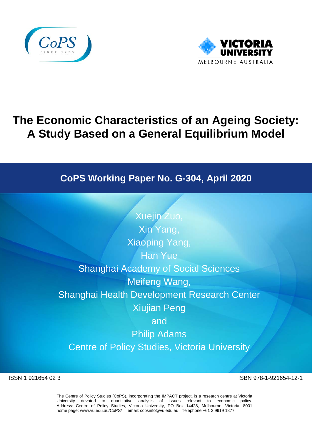



# **The Economic Characteristics of an Ageing Society: A Study Based on a General Equilibrium Model**

## **CoPS Working Paper No. G-304, April 2020**

Xuejin Zuo, Xin Yang, Xiaoping Yang, Han Yue Shanghai Academy of Social Sciences Meifeng Wang, Shanghai Health Development Research Center Xiujian Peng and Philip Adams Centre of Policy Studies, Victoria University

ISSN 1 921654 02 3 ISBN 978-1-921654-12-1

The Centre of Policy Studies (CoPS), incorporating the IMPACT project, is a research centre at Victoria University devoted to quantitative analysis of issues relevant to economic policy. Address: Centre of Policy Studies, Victoria University, PO Box 14428, Melbourne, Victoria, 8001 home page: www.vu.edu.au/CoPS/ email: copsinfo@vu.edu.au Telephone +61 3 9919 1877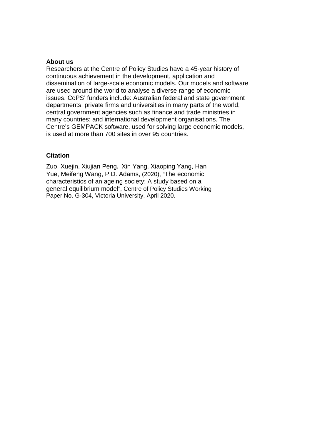#### **About us**

Researchers at the Centre of Policy Studies have a 45-year history of continuous achievement in the development, application and dissemination of large-scale economic models. Our models and software are used around the world to analyse a diverse range of economic issues. CoPS' funders include: Australian federal and state government departments; private firms and universities in many parts of the world; central government agencies such as finance and trade ministries in many countries; and international development organisations. The Centre's GEMPACK software, used for solving large economic models, is used at more than 700 sites in over 95 countries.

## **Citation**

Zuo, Xuejin, Xiujian Peng, Xin Yang, Xiaoping Yang, Han Yue, Meifeng Wang, P.D. Adams, (2020), "The economic characteristics of an ageing society: A study based on a general equilibrium model", Centre of Policy Studies Working Paper No. G-304, Victoria University, April 2020.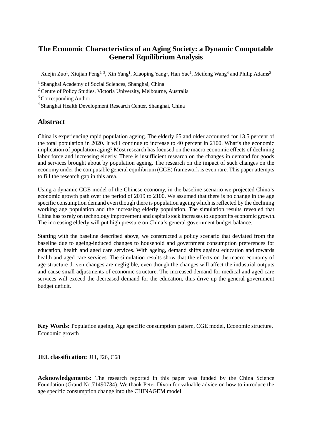## **The Economic Characteristics of an Aging Society: a Dynamic Computable General Equilibrium Analysis**

Xuejin Zuo<sup>1</sup>, Xiujian Peng<sup>2, 3</sup>, Xin Yang<sup>1</sup>, Xiaoping Yang<sup>1</sup>, Han Yue<sup>1</sup>, Meifeng Wang<sup>4</sup> and Philip Adams<sup>2</sup>

<sup>1</sup> Shanghai Academy of Social Sciences, Shanghai, China

2 Centre of Policy Studies, Victoria University, Melbourne, Australia

3 Corresponding Author

4 Shanghai Health Development Research Center, Shanghai, China

## **Abstract**

China is experiencing rapid population ageing. The elderly 65 and older accounted for 13.5 percent of the total population in 2020. It will continue to increase to 40 percent in 2100. What's the economic implication of population aging? Most research has focused on the macro economic effects of declining labor force and increasing elderly. There is insufficient research on the changes in demand for goods and services brought about by population ageing. The research on the impact of such changes on the economy under the computable general equilibrium (CGE) framework is even rare. This paper attempts to fill the research gap in this area.

Using a dynamic CGE model of the Chinese economy, in the baseline scenario we projected China's economic growth path over the period of 2019 to 2100. We assumed that there is no change in the age specific consumption demand even though there is population ageing which is reflected by the declining working age population and the increasing elderly population. The simulation results revealed that China has to rely on technology improvement and capital stock increases to support its economic growth. The increasing elderly will put high pressure on China's general government budget balance.

Starting with the baseline described above, we constructed a policy scenario that deviated from the baseline due to ageing-induced changes to household and government consumption preferences for education, health and aged care services. With ageing, demand shifts against education and towards health and aged care services. The simulation results show that the effects on the macro economy of age-structure driven changes are negligible, even though the changes will affect the industrial outputs and cause small adjustments of economic structure. The increased demand for medical and aged-care services will exceed the decreased demand for the education, thus drive up the general government budget deficit.

**Key Words:** Population ageing, Age specific consumption pattern, CGE model, Economic structure, Economic growth

#### **JEL classification:** J11, J26, C68

**Acknowledgements:** The research reported in this paper was funded by the China Science Foundation (Grand No.71490734). We thank Peter Dixon for valuable advice on how to introduce the age specific consumption change into the CHINAGEM model.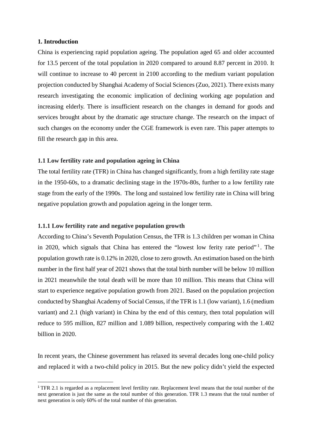#### **1. Introduction**

China is experiencing rapid population ageing. The population aged 65 and older accounted for 13.5 percent of the total population in 2020 compared to around 8.87 percent in 2010. It will continue to increase to 40 percent in 2100 according to the medium variant population projection conducted by Shanghai Academy of Social Sciences (Zuo, 2021). There exists many research investigating the economic implication of declining working age population and increasing elderly. There is insufficient research on the changes in demand for goods and services brought about by the dramatic age structure change. The research on the impact of such changes on the economy under the CGE framework is even rare. This paper attempts to fill the research gap in this area.

#### **1.1 Low fertility rate and population ageing in China**

The total fertility rate (TFR) in China has changed significantly, from a high fertility rate stage in the 1950-60s, to a dramatic declining stage in the 1970s-80s, further to a low fertility rate stage from the early of the 1990s. The long and sustained low fertility rate in China will bring negative population growth and population ageing in the longer term.

#### **1.1.1 Low fertility rate and negative population growth**

According to China's Seventh Population Census, the TFR is 1.3 children per woman in China in 2020, which signals that China has entered the "lowest low ferity rate period"<sup>[1](#page-3-0)</sup>. The population growth rate is 0.12% in 2020, close to zero growth. An estimation based on the birth number in the first half year of 2021 shows that the total birth number will be below 10 million in 2021 meanwhile the total death will be more than 10 million. This means that China will start to experience negative population growth from 2021. Based on the population projection conducted by Shanghai Academy of Social Census, if the TFR is 1.1 (low variant), 1.6 (medium variant) and 2.1 (high variant) in China by the end of this century, then total population will reduce to 595 million, 827 million and 1.089 billion, respectively comparing with the 1.402 billion in 2020.

In recent years, the Chinese government has relaxed its several decades long one-child policy and replaced it with a two-child policy in 2015. But the new policy didn't yield the expected

<span id="page-3-0"></span><sup>&</sup>lt;sup>1</sup> TFR 2.1 is regarded as a replacement level fertility rate. Replacement level means that the total number of the next generation is just the same as the total number of this generation. TFR 1.3 means that the total number of next generation is only 60% of the total number of this generation.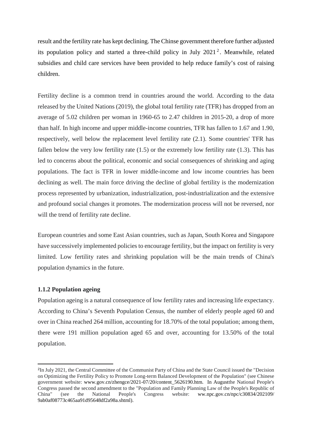result and the fertility rate has kept declining. The Chinse government therefore further adjusted its population policy and started a three-child policy in July  $2021^2$  $2021^2$ . Meanwhile, related subsidies and child care services have been provided to help reduce family's cost of raising children.

Fertility decline is a common trend in countries around the world. According to the data released by the United Nations (2019), the global total fertility rate (TFR) has dropped from an average of 5.02 children per woman in 1960-65 to 2.47 children in 2015-20, a drop of more than half. In high income and upper middle-income countries, TFR has fallen to 1.67 and 1.90, respectively, well below the replacement level fertility rate (2.1). Some countries' TFR has fallen below the very low fertility rate (1.5) or the extremely low fertility rate (1.3). This has led to concerns about the political, economic and social consequences of shrinking and aging populations. The fact is TFR in lower middle-income and low income countries has been declining as well. The main force driving the decline of global fertility is the modernization process represented by urbanization, industrialization, post-industrialization and the extensive and profound social changes it promotes. The modernization process will not be reversed, nor will the trend of fertility rate decline.

European countries and some East Asian countries, such as Japan, South Korea and Singapore have successively implemented policies to encourage fertility, but the impact on fertility is very limited. Low fertility rates and shrinking population will be the main trends of China's population dynamics in the future.

#### **1.1.2 Population ageing**

-

Population ageing is a natural consequence of low fertility rates and increasing life expectancy. According to China's Seventh Population Census, the number of elderly people aged 60 and over in China reached 264 million, accounting for 18.70% of the total population; among them, there were 191 million population aged 65 and over, accounting for 13.50% of the total population.

<span id="page-4-0"></span><sup>2</sup>In July 2021, the Central Committee of the Communist Party of China and the State Council issued the "Decision on Optimizing the Fertility Policy to Promote Long-term Balanced Development of the Population" (see Chinese government website: www.gov.cn/zhengce/2021-07/20/content\_5626190.htm. In Augustthe National People's Congress passed the second amendment to the "Population and Family Planning Law of the People's Republic of China" (see the National People's Congress website: ww.npc.gov.cn/npc/c30834/202109/ (see the National People's Congress website: ww.npc.gov.cn/npc/c30834/202109/ 9ab0af08773c465aa91d95648df2a98a.shtml).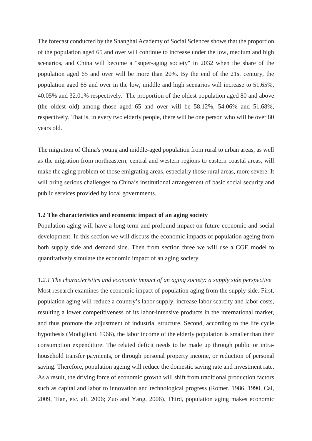The forecast conducted by the Shanghai Academy of Social Sciences shows that the proportion of the population aged 65 and over will continue to increase under the low, medium and high scenarios, and China will become a "super-aging society" in 2032 when the share of the population aged 65 and over will be more than 20%. By the end of the 21st century, the population aged 65 and over in the low, middle and high scenarios will increase to 51.65%, 40.05% and 32.01% respectively. The proportion of the oldest population aged 80 and above (the oldest old) among those aged 65 and over will be 58.12%, 54.06% and 51.68%, respectively. That is, in every two elderly people, there will be one person who will be over 80 years old.

The migration of China's young and middle-aged population from rural to urban areas, as well as the migration from northeastern, central and western regions to eastern coastal areas, will make the aging problem of those emigrating areas, especially those rural areas, more severe. It will bring serious challenges to China's institutional arrangement of basic social security and public services provided by local governments.

#### **1.2 The characteristics and economic impact of an aging society**

Population aging will have a long-term and profound impact on future economic and social development. In this section we will discuss the economic impacts of population ageing from both supply side and demand side. Then from section three we will use a CGE model to quantitatively simulate the economic impact of an aging society.

## 1*.2.1 The characteristics and economic impact of an aging society: a supply side perspective*

Most research examines the economic impact of population aging from the supply side. First, population aging will reduce a country's labor supply, increase labor scarcity and labor costs, resulting a lower competitiveness of its labor-intensive products in the international market, and thus promote the adjustment of industrial structure. Second, according to the life cycle hypothesis (Modigliani, 1966), the labor income of the elderly population is smaller than their consumption expenditure. The related deficit needs to be made up through public or intrahousehold transfer payments, or through personal property income, or reduction of personal saving. Therefore, population ageing will reduce the domestic saving rate and investment rate. As a result, the driving force of economic growth will shift from traditional production factors such as capital and labor to innovation and technological progress (Romer, 1986, 1990, Cai, 2009, Tian, etc. alt, 2006; Zuo and Yang, 2006). Third, population aging makes economic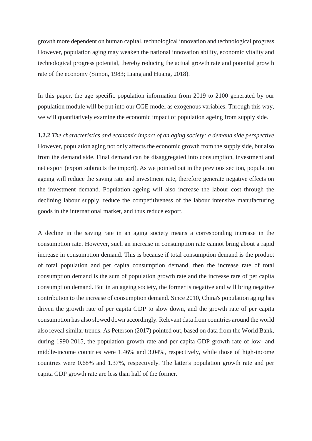growth more dependent on human capital, technological innovation and technological progress. However, population aging may weaken the national innovation ability, economic vitality and technological progress potential, thereby reducing the actual growth rate and potential growth rate of the economy (Simon, 1983; Liang and Huang, 2018).

In this paper, the age specific population information from 2019 to 2100 generated by our population module will be put into our CGE model as exogenous variables. Through this way, we will quantitatively examine the economic impact of population ageing from supply side.

**1.2.2** *The characteristics and economic impact of an aging society: a demand side perspective* However, population aging not only affects the economic growth from the supply side, but also from the demand side. Final demand can be disaggregated into consumption, investment and net export (export subtracts the import). As we pointed out in the previous section, population ageing will reduce the saving rate and investment rate, therefore generate negative effects on the investment demand. Population ageing will also increase the labour cost through the declining labour supply, reduce the competitiveness of the labour intensive manufacturing goods in the international market, and thus reduce export.

A decline in the saving rate in an aging society means a corresponding increase in the consumption rate. However, such an increase in consumption rate cannot bring about a rapid increase in consumption demand. This is because if total consumption demand is the product of total population and per capita consumption demand, then the increase rate of total consumption demand is the sum of population growth rate and the increase rare of per capita consumption demand. But in an ageing society, the former is negative and will bring negative contribution to the increase of consumption demand. Since 2010, China's population aging has driven the growth rate of per capita GDP to slow down, and the growth rate of per capita consumption has also slowed down accordingly. Relevant data from countries around the world also reveal similar trends. As Peterson (2017) pointed out, based on data from the World Bank, during 1990-2015, the population growth rate and per capita GDP growth rate of low- and middle-income countries were 1.46% and 3.04%, respectively, while those of high-income countries were 0.68% and 1.37%, respectively. The latter's population growth rate and per capita GDP growth rate are less than half of the former.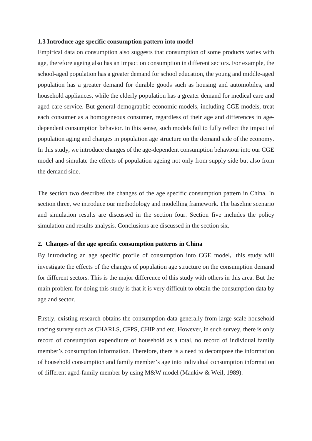#### **1.3 Introduce age specific consumption pattern into model**

Empirical data on consumption also suggests that consumption of some products varies with age, therefore ageing also has an impact on consumption in different sectors. For example, the school-aged population has a greater demand for school education, the young and middle-aged population has a greater demand for durable goods such as housing and automobiles, and household appliances, while the elderly population has a greater demand for medical care and aged-care service. But general demographic economic models, including CGE models, treat each consumer as a homogeneous consumer, regardless of their age and differences in agedependent consumption behavior. In this sense, such models fail to fully reflect the impact of population aging and changes in population age structure on the demand side of the economy. In this study, we introduce changes of the age-dependent consumption behaviour into our CGE model and simulate the effects of population ageing not only from supply side but also from the demand side.

The section two describes the changes of the age specific consumption pattern in China. In section three, we introduce our methodology and modelling framework. The baseline scenario and simulation results are discussed in the section four. Section five includes the policy simulation and results analysis. Conclusions are discussed in the section six.

#### **2. Changes of the age specific consumption patterns in China**

By introducing an age specific profile of consumption into CGE model, this study will investigate the effects of the changes of population age structure on the consumption demand for different sectors. This is the major difference of this study with others in this area. But the main problem for doing this study is that it is very difficult to obtain the consumption data by age and sector.

Firstly, existing research obtains the consumption data generally from large-scale household tracing survey such as CHARLS, CFPS, CHIP and etc. However, in such survey, there is only record of consumption expenditure of household as a total, no record of individual family member's consumption information. Therefore, there is a need to decompose the information of household consumption and family member's age into individual consumption information of different aged-family member by using M&W model (Mankiw & Weil, 1989).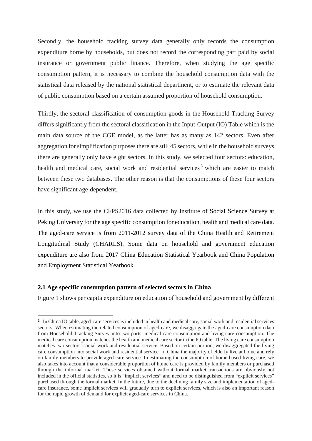Secondly, the household tracking survey data generally only records the consumption expenditure borne by households, but does not record the corresponding part paid by social insurance or government public finance. Therefore, when studying the age specific consumption pattern, it is necessary to combine the household consumption data with the statistical data released by the national statistical department, or to estimate the relevant data of public consumption based on a certain assumed proportion of household consumption.

Thirdly, the sectoral classification of consumption goods in the Household Tracking Survey differs significantly from the sectoral classification in the Input-Output (IO) Table which is the main data source of the CGE model, as the latter has as many as 142 sectors. Even after aggregation for simplification purposes there are still 45 sectors, while in the household surveys, there are generally only have eight sectors. In this study, we selected four sectors: education, health and medical care, social work and residential services<sup>[3](#page-8-0)</sup> which are easier to match between these two databases. The other reason is that the consumptions of these four sectors have significant age-dependent.

In this study, we use the CFPS2016 data collected by Institute of Social Science Survey at Peking University for the age specific consumption for education, health and medical care data. The aged-care service is from 2011-2012 survey data of the China Health and Retirement Longitudinal Study (CHARLS). Some data on household and government education expenditure are also from 2017 China Education Statistical Yearbook and China Population and Employment Statistical Yearbook.

#### **2.1 Age specific consumption pattern of selected sectors in China**

**.** 

Figure 1 shows per capita expenditure on education of household and government by different

<span id="page-8-0"></span><sup>3</sup> In China IO table, aged-care services is included in health and medical care, social work and residential services sectors. When estimating the related consumption of aged-care, we disaggregate the aged-care consumption data from Household Tracking Survey into two parts: medical care consumption and living care consumption. The medical care consumption matches the health and medical care sector in the IO table. The living care consumption matches two sectors: social work and residential service. Based on certain portion, we disaggregated the living care consumption into social work and residential service. In China the majority of elderly live at home and rely on family members to provide aged-care service. In estimating the consumption of home based living care, we also takes into account that a considerable proportion of home care is provided by family members or purchased through the informal market. These services obtained without formal market transactions are obviously not included in the official statistics, so it is "implicit services" and need to be distinguished from "explicit services" purchased through the formal market. In the future, due to the declining family size and implementation of agedcare insurance, some implicit services will gradually turn to explicit services, which is also an important reason for the rapid growth of demand for explicit aged-care services in China.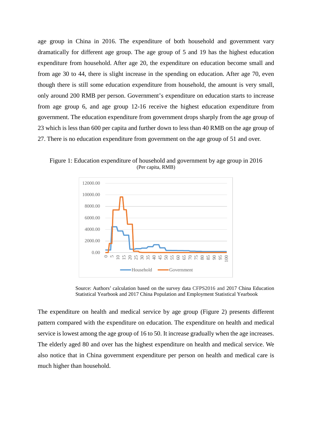age group in China in 2016. The expenditure of both household and government vary dramatically for different age group. The age group of 5 and 19 has the highest education expenditure from household. After age 20, the expenditure on education become small and from age 30 to 44, there is slight increase in the spending on education. After age 70, even though there is still some education expenditure from household, the amount is very small, only around 200 RMB per person. Government's expenditure on education starts to increase from age group 6, and age group 12-16 receive the highest education expenditure from government. The education expenditure from government drops sharply from the age group of 23 which is less than 600 per capita and further down to less than 40 RMB on the age group of 27. There is no education expenditure from government on the age group of 51 and over.

Figure 1: Education expenditure of household and government by age group in 2016 (Per capita, RMB)



 Source: Authors' calculation based on the survey data CFPS2016 and 2017 China Education Statistical Yearbook and 2017 China Population and Employment Statistical Yearbook

The expenditure on health and medical service by age group (Figure 2) presents different pattern compared with the expenditure on education. The expenditure on health and medical service is lowest among the age group of 16 to 50. It increase gradually when the age increases. The elderly aged 80 and over has the highest expenditure on health and medical service. We also notice that in China government expenditure per person on health and medical care is much higher than household.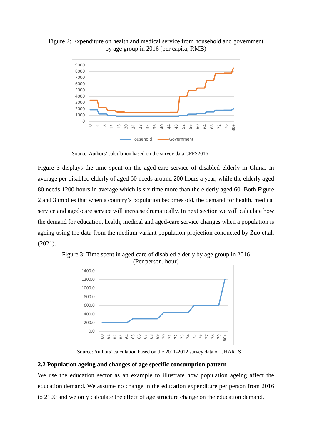

Figure 2: Expenditure on health and medical service from household and government by age group in 2016 (per capita, RMB)

Source: Authors' calculation based on the survey data CFPS2016

Figure 3 displays the time spent on the aged-care service of disabled elderly in China. In average per disabled elderly of aged 60 needs around 200 hours a year, while the elderly aged 80 needs 1200 hours in average which is six time more than the elderly aged 60. Both Figure 2 and 3 implies that when a country's population becomes old, the demand for health, medical service and aged-care service will increase dramatically. In next section we will calculate how the demand for education, health, medical and aged-care service changes when a population is ageing using the data from the medium variant population projection conducted by Zuo et.al. (2021).



Figure 3: Time spent in aged-care of disabled elderly by age group in 2016

Source: Authors' calculation based on the 2011-2012 survey data of CHARLS

#### **2.2 Population ageing and changes of age specific consumption pattern**

We use the education sector as an example to illustrate how population ageing affect the education demand. We assume no change in the education expenditure per person from 2016 to 2100 and we only calculate the effect of age structure change on the education demand.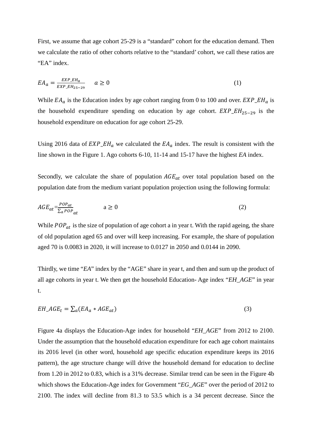First, we assume that age cohort 25-29 is a "standard" cohort for the education demand. Then we calculate the ratio of other cohorts relative to the "standard' cohort, we call these ratios are "EA" index.

$$
EA_a = \frac{EXP\_EH_a}{EXP\_EH_{25-29}} \qquad a \ge 0 \tag{1}
$$

While  $EA_a$  is the Education index by age cohort ranging from 0 to 100 and over.  $EXP\_EH_a$  is the household expenditure spending on education by age cohort.  $EXP\_EH_{25-29}$  is the household expenditure on education for age cohort 25-29.

Using 2016 data of  $EXP\_EH_a$  we calculated the  $EA_a$  index. The result is consistent with the line shown in the Figure 1. Ago cohorts 6-10, 11-14 and 15-17 have the highest *EA* index.

Secondly, we calculate the share of population  $AGE_{at}$  over total population based on the population date from the medium variant population projection using the following formula:

$$
AGE_{at} = \frac{POP_{at}}{\sum_{a} POP_{at}} \qquad \qquad a \ge 0 \tag{2}
$$

While  $POP_{at}$  is the size of population of age cohort a in year t. With the rapid ageing, the share of old population aged 65 and over will keep increasing. For example, the share of population aged 70 is 0.0083 in 2020, it will increase to 0.0127 in 2050 and 0.0144 in 2090.

Thirdly, we time "*EA*" index by the "AGE" share in year t, and then and sum up the product of all age cohorts in year t. We then get the household Education- Age index "*EH\_AGE*" in year t.

$$
EH\_AGE_t = \sum_a (EA_a *AGE_{at})
$$
\n(3)

Figure 4a displays the Education-Age index for household "*EH\_AGE*" from 2012 to 2100. Under the assumption that the household education expenditure for each age cohort maintains its 2016 level (in other word, household age specific education expenditure keeps its 2016 pattern), the age structure change will drive the household demand for education to decline from 1.20 in 2012 to 0.83, which is a 31% decrease. Similar trend can be seen in the Figure 4b which shows the Education-Age index for Government "*EG\_AGE*" over the period of 2012 to 2100. The index will decline from 81.3 to 53.5 which is a 34 percent decrease. Since the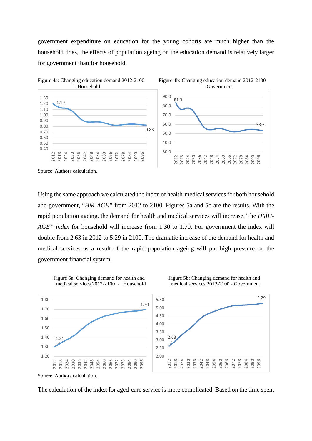government expenditure on education for the young cohorts are much higher than the household does, the effects of population ageing on the education demand is relatively larger for government than for household.



Source: Authors calculation.

Using the same approach we calculated the index of health-medical services for both household and government, "*HM-AGE"* from 2012 to 2100. Figures 5a and 5b are the results. With the rapid population ageing, the demand for health and medical services will increase. The *HMH-AGE" index* for household will increase from 1.30 to 1.70. For government the index will double from 2.63 in 2012 to 5.29 in 2100. The dramatic increase of the demand for health and medical services as a result of the rapid population ageing will put high pressure on the government financial system.



The calculation of the index for aged-care service is more complicated. Based on the time spent

Source: Authors calculation.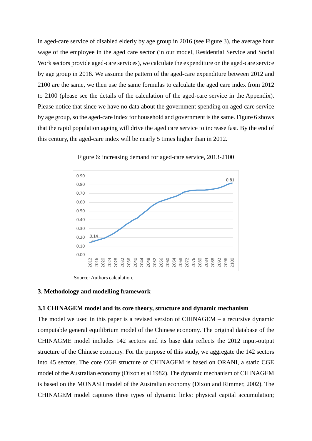in aged-care service of disabled elderly by age group in 2016 (see Figure 3), the average hour wage of the employee in the aged care sector (in our model, Residential Service and Social Work sectors provide aged-care services), we calculate the expenditure on the aged-care service by age group in 2016. We assume the pattern of the aged-care expenditure between 2012 and 2100 are the same, we then use the same formulas to calculate the aged care index from 2012 to 2100 (please see the details of the calculation of the aged-care service in the Appendix). Please notice that since we have no data about the government spending on aged-care service by age group, so the aged-care index for household and government is the same. Figure 6 shows that the rapid population ageing will drive the aged care service to increase fast. By the end of this century, the aged-care index will be nearly 5 times higher than in 2012.



Figure 6: increasing demand for aged-care service, 2013-2100

Source: Authors calculation.

#### **3**. **Methodology and modelling framework**

#### **3.1 CHINAGEM model and its core theory, structure and dynamic mechanism**

The model we used in this paper is a revised version of CHINAGEM – a recursive dynamic computable general equilibrium model of the Chinese economy. The original database of the CHINAGME model includes 142 sectors and its base data reflects the 2012 input-output structure of the Chinese economy. For the purpose of this study, we aggregate the 142 sectors into 45 sectors. The core CGE structure of CHINAGEM is based on ORANI, a static CGE model of the Australian economy (Dixon et al 1982). The dynamic mechanism of CHINAGEM is based on the MONASH model of the Australian economy (Dixon and Rimmer, 2002). The CHINAGEM model captures three types of dynamic links: physical capital accumulation;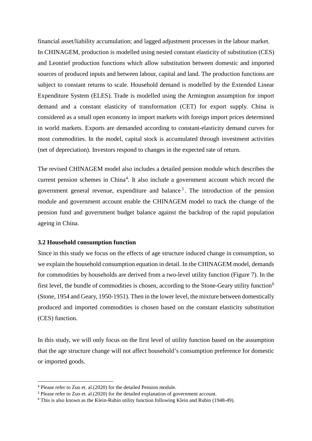financial asset/liability accumulation; and lagged adjustment processes in the labour market. In CHINAGEM, production is modelled using nested constant elasticity of substitution (CES) and Leontief production functions which allow substitution between domestic and imported sources of produced inputs and between labour, capital and land. The production functions are subject to constant returns to scale. Household demand is modelled by the Extended Linear Expenditure System (ELES). Trade is modelled using the Armington assumption for import demand and a constant elasticity of transformation (CET) for export supply. China is considered as a small open economy in import markets with foreign import prices determined in world markets. Exports are demanded according to constant-elasticity demand curves for most commodities. In the model, capital stock is accumulated through investment activities (net of depreciation). Investors respond to changes in the expected rate of return.

The revised CHINAGEM model also includes a detailed pension module which describes the current pension schemes in China<sup>[4](#page-14-0)</sup>. It also include a government account which record the government general revenue, expenditure and balance<sup>[5](#page-14-1)</sup>. The introduction of the pension module and government account enable the CHINAGEM model to track the change of the pension fund and government budget balance against the backdrop of the rapid population ageing in China.

#### **3.2 Household consumption function**

Since in this study we focus on the effects of age structure induced change in consumption, so we explain the household consumption equation in detail. In the CHINAGEM model, demands for commodities by households are derived from a two-level utility function (Figure 7). In the first level, the bundle of commodities is chosen, according to the Stone-Geary utility function<sup>[6](#page-14-2)</sup> (Stone, 1954 and Geary, 1950-1951). Then in the lower level, the mixture between domestically produced and imported commodities is chosen based on the constant elasticity substitution (CES) function.

In this study, we will only focus on the first level of utility function based on the assumption that the age structure change will not affect household's consumption preference for domestic or imported goods.

<span id="page-14-0"></span> <sup>4</sup> Please refer to Zuo et. al.(2020) for the detailed Pension module.

<span id="page-14-1"></span><sup>5</sup> Please refer to Zuo et. al.(2020) for the detailed explanation of government account.

<span id="page-14-2"></span><sup>6</sup> This is also known as the Klein-Rubin utility function following Klein and Rubin (1948-49).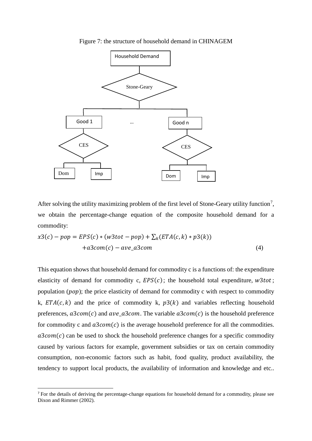

Figure 7: the structure of household demand in CHINAGEM

After solving the utility maximizing problem of the first level of Stone-Geary utility function<sup>[7](#page-15-0)</sup>, we obtain the percentage-change equation of the composite household demand for a commodity:

$$
x3(c) - pop = EPS(c) * (w3tot - pop) + \sum_{k} (ETA(c, k) * p3(k))
$$
  
+ $a3com(c) - ave\_a3com$  (4)

This equation shows that household demand for commodity c is a functions of: the expenditure elasticity of demand for commodity c,  $EPS(c)$ ; the household total expenditure,  $w3tot$ ; population  $(pop)$ ; the price elasticity of demand for commodity c with respect to commodity k,  $ETA(c, k)$  and the price of commodity k,  $p3(k)$  and variables reflecting household preferences,  $a3com(c)$  and  $ave_a3com$ . The variable  $a3com(c)$  is the household preference for commodity c and  $a3com(c)$  is the average household preference for all the commodities.  $a3com(c)$  can be used to shock the household preference changes for a specific commodity caused by various factors for example, government subsidies or tax on certain commodity consumption, non-economic factors such as habit, food quality, product availability, the tendency to support local products, the availability of information and knowledge and etc..

<span id="page-15-0"></span><sup>&</sup>lt;sup>7</sup> For the details of deriving the percentage-change equations for household demand for a commodity, please see Dixon and Rimmer (2002).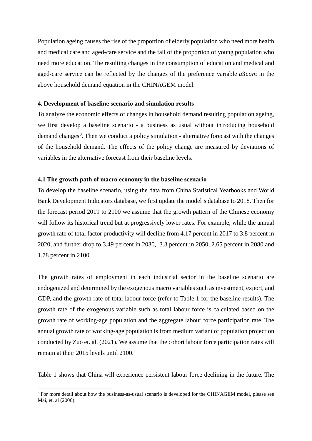Population ageing causes the rise of the proportion of elderly population who need more health and medical care and aged-care service and the fall of the proportion of young population who need more education. The resulting changes in the consumption of education and medical and aged-care service can be reflected by the changes of the preference variable  $a3com$  in the above household demand equation in the CHINAGEM model.

#### **4. Development of baseline scenario and simulation results**

To analyze the economic effects of changes in household demand resulting population ageing, we first develop a baseline scenario - a business as usual without introducing household demand changes<sup>[8](#page-16-0)</sup>. Then we conduct a policy simulation - alternative forecast with the changes of the household demand. The effects of the policy change are measured by deviations of variables in the alternative forecast from their baseline levels.

#### **4.1 The growth path of macro economy in the baseline scenario**

To develop the baseline scenario, using the data from China Statistical Yearbooks and World Bank Development Indicators database, we first update the model's database to 2018. Then for the forecast period 2019 to 2100 we assume that the growth pattern of the Chinese economy will follow its historical trend but at progressively lower rates. For example, while the annual growth rate of total factor productivity will decline from 4.17 percent in 2017 to 3.8 percent in 2020, and further drop to 3.49 percent in 2030, 3.3 percent in 2050, 2.65 percent in 2080 and 1.78 percent in 2100.

The growth rates of employment in each industrial sector in the baseline scenario are endogenized and determined by the exogenous macro variables such as investment, export, and GDP, and the growth rate of total labour force (refer to Table 1 for the baseline results). The growth rate of the exogenous variable such as total labour force is calculated based on the growth rate of working-age population and the aggregate labour force participation rate. The annual growth rate of working-age population is from medium variant of population projection conducted by Zuo et. al. (2021). We assume that the cohort labour force participation rates will remain at their 2015 levels until 2100.

Table 1 shows that China will experience persistent labour force declining in the future. The

<span id="page-16-0"></span><sup>&</sup>lt;sup>8</sup> For more detail about how the business-as-usual scenario is developed for the CHINAGEM model, please see Mai, et. al (2006).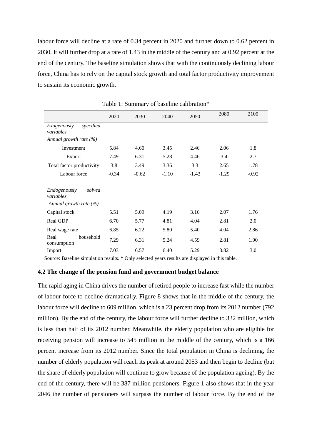labour force will decline at a rate of 0.34 percent in 2020 and further down to 0.62 percent in 2030. It will further drop at a rate of 1.43 in the middle of the century and at 0.92 percent at the end of the century. The baseline simulation shows that with the continuously declining labour force, China has to rely on the capital stock growth and total factor productivity improvement to sustain its economic growth.

|                                       | 2020    | 2030    | 2040    | 2050    | 2080    | 2100    |
|---------------------------------------|---------|---------|---------|---------|---------|---------|
| specified<br>Exogenously<br>variables |         |         |         |         |         |         |
| Annual growth rate $(%)$              |         |         |         |         |         |         |
| Investment                            | 5.84    | 4.60    | 3.45    | 2.46    | 2.06    | 1.8     |
| Export                                | 7.49    | 6.31    | 5.28    | 4.46    | 3.4     | 2.7     |
| Total factor productivity             | 3.8     | 3.49    | 3.36    | 3.3     | 2.65    | 1.78    |
| Labour force                          | $-0.34$ | $-0.62$ | $-1.10$ | $-1.43$ | $-1.29$ | $-0.92$ |
|                                       |         |         |         |         |         |         |
| Endogenously<br>solved<br>variables   |         |         |         |         |         |         |
| Annual growth rate $(\%)$             |         |         |         |         |         |         |
| Capital stock                         | 5.51    | 5.09    | 4.19    | 3.16    | 2.07    | 1.76    |
| Real GDP                              | 6.70    | 5.77    | 4.81    | 4.04    | 2.81    | 2.0     |
| Real wage rate                        | 6.85    | 6.22    | 5.80    | 5.40    | 4.04    | 2.86    |
| household<br>Real<br>consumption      | 7.29    | 6.31    | 5.24    | 4.59    | 2.81    | 1.90    |
| Import                                | 7.03    | 6.57    | 6.40    | 5.29    | 3.82    | 3.0     |

Table 1: Summary of baseline calibration\*

Source: Baseline simulation results. **\*** Only selected years results are displayed in this table.

#### **4.2 The change of the pension fund and government budget balance**

The rapid aging in China drives the number of retired people to increase fast while the number of labour force to decline dramatically. Figure 8 shows that in the middle of the century, the labour force will decline to 609 million, which is a 23 percent drop from its 2012 number (792 million). By the end of the century, the labour force will further decline to 332 million, which is less than half of its 2012 number. Meanwhile, the elderly population who are eligible for receiving pension will increase to 545 million in the middle of the century, which is a 166 percent increase from its 2012 number. Since the total population in China is declining, the number of elderly population will reach its peak at around 2053 and then begin to decline (but the share of elderly population will continue to grow because of the population ageing). By the end of the century, there will be 387 million pensioners. Figure 1 also shows that in the year 2046 the number of pensioners will surpass the number of labour force. By the end of the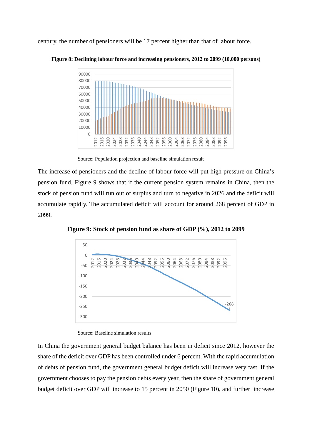century, the number of pensioners will be 17 percent higher than that of labour force.



**Figure 8: Declining labour force and increasing pensioners, 2012 to 2099 (10,000 persons)**

Source: Population projection and baseline simulation result

The increase of pensioners and the decline of labour force will put high pressure on China's pension fund. Figure 9 shows that if the current pension system remains in China, then the stock of pension fund will run out of surplus and turn to negative in 2026 and the deficit will accumulate rapidly. The accumulated deficit will account for around 268 percent of GDP in 2099.





Source: Baseline simulation results

In China the government general budget balance has been in deficit since 2012, however the share of the deficit over GDP has been controlled under 6 percent. With the rapid accumulation of debts of pension fund, the government general budget deficit will increase very fast. If the government chooses to pay the pension debts every year, then the share of government general budget deficit over GDP will increase to 15 percent in 2050 (Figure 10), and further increase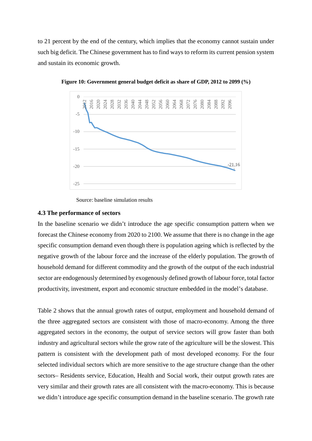to 21 percent by the end of the century, which implies that the economy cannot sustain under such big deficit. The Chinese government has to find ways to reform its current pension system and sustain its economic growth.



**Figure 10: Government general budget deficit as share of GDP, 2012 to 2099 (%)**

Source: baseline simulation results

#### **4.3 The performance of sectors**

In the baseline scenario we didn't introduce the age specific consumption pattern when we forecast the Chinese economy from 2020 to 2100. We assume that there is no change in the age specific consumption demand even though there is population ageing which is reflected by the negative growth of the labour force and the increase of the elderly population. The growth of household demand for different commodity and the growth of the output of the each industrial sector are endogenously determined by exogenously defined growth of labour force, total factor productivity, investment, export and economic structure embedded in the model's database.

Table 2 shows that the annual growth rates of output, employment and household demand of the three aggregated sectors are consistent with those of macro-economy. Among the three aggregated sectors in the economy, the output of service sectors will grow faster than both industry and agricultural sectors while the grow rate of the agriculture will be the slowest. This pattern is consistent with the development path of most developed economy. For the four selected individual sectors which are more sensitive to the age structure change than the other sectors– Residents service, Education, Health and Social work, their output growth rates are very similar and their growth rates are all consistent with the macro-economy. This is because we didn't introduce age specific consumption demand in the baseline scenario. The growth rate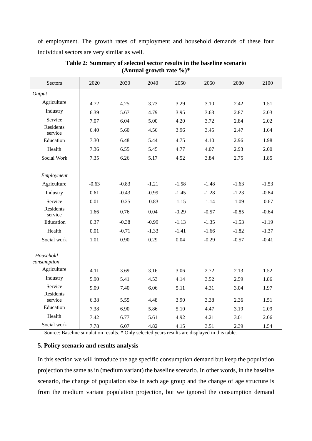of employment. The growth rates of employment and household demands of these four individual sectors are very similar as well.

| Sectors                                 | 2020         | 2030         | 2040         | 2050         | 2060         | 2080         | 2100         |
|-----------------------------------------|--------------|--------------|--------------|--------------|--------------|--------------|--------------|
| Output                                  |              |              |              |              |              |              |              |
| Agriculture                             | 4.72         | 4.25         | 3.73         | 3.29         | 3.10         | 2.42         | 1.51         |
| Industry                                | 6.39         | 5.67         | 4.79         | 3.95         | 3.63         | 2.87         | 2.03         |
| Service                                 | 7.07         | 6.04         | 5.00         | 4.20         | 3.72         | 2.84         | 2.02         |
| Residents<br>service                    | 6.40         | 5.60         | 4.56         | 3.96         | 3.45         | 2.47         | 1.64         |
| Education                               | 7.30         | 6.48         | 5.44         | 4.75         | 4.10         | 2.96         | 1.98         |
| Health                                  | 7.36         | 6.55         | 5.45         | 4.77         | 4.07         | 2.93         | 2.00         |
| Social Work                             | 7.35         | 6.26         | 5.17         | 4.52         | 3.84         | 2.75         | 1.85         |
|                                         |              |              |              |              |              |              |              |
| Employment                              |              |              |              |              |              |              |              |
| Agriculture                             | $-0.63$      | $-0.83$      | $-1.21$      | $-1.58$      | $-1.48$      | $-1.63$      | $-1.53$      |
| Industry                                | 0.61         | $-0.43$      | $-0.99$      | $-1.45$      | $-1.28$      | $-1.23$      | $-0.84$      |
| Service                                 | 0.01         | $-0.25$      | $-0.83$      | $-1.15$      | $-1.14$      | $-1.09$      | $-0.67$      |
| Residents<br>service                    | 1.66         | 0.76         | 0.04         | $-0.29$      | $-0.57$      | $-0.85$      | $-0.64$      |
| Education                               | 0.37         | $-0.38$      | $-0.99$      | $-1.13$      | $-1.35$      | $-1.53$      | $-1.19$      |
| Health                                  | $0.01\,$     | $-0.71$      | $-1.33$      | $-1.41$      | $-1.66$      | $-1.82$      | $-1.37$      |
| Social work                             | 1.01         | 0.90         | 0.29         | 0.04         | $-0.29$      | $-0.57$      | $-0.41$      |
| Household<br>consumption<br>Agriculture |              |              |              |              |              |              |              |
| Industry                                | 4.11         | 3.69         | 3.16         | 3.06         | 2.72         | 2.13         | 1.52         |
| Service                                 | 5.90         | 5.41         | 4.53         | 4.14         | 3.52         | 2.59         | 1.86         |
| Residents<br>service                    | 9.09<br>6.38 | 7.40<br>5.55 | 6.06<br>4.48 | 5.11<br>3.90 | 4.31<br>3.38 | 3.04<br>2.36 | 1.97<br>1.51 |
| Education                               | 7.38         | 6.90         | 5.86         | 5.10         | 4.47         | 3.19         | 2.09         |
| Health                                  | 7.42         | 6.77         | 5.61         | 4.92         | 4.21         | 3.01         | 2.06         |
| Social work                             | 7.78         | 6.07         | 4.82         | 4.15         | 3.51         | 2.39         | 1.54         |

**Table 2: Summary of selected sector results in the baseline scenario (Annual growth rate %)\***

Source: Baseline simulation results. **\*** Only selected years results are displayed in this table.

#### **5. Policy scenario and results analysis**

In this section we will introduce the age specific consumption demand but keep the population projection the same as in (medium variant) the baseline scenario. In other words, in the baseline scenario, the change of population size in each age group and the change of age structure is from the medium variant population projection, but we ignored the consumption demand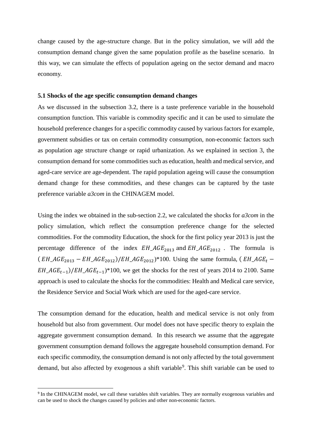change caused by the age-structure change. But in the policy simulation, we will add the consumption demand change given the same population profile as the baseline scenario. In this way, we can simulate the effects of population ageing on the sector demand and macro economy.

#### **5.1 Shocks of the age specific consumption demand changes**

As we discussed in the subsection 3.2, there is a taste preference variable in the household consumption function. This variable is commodity specific and it can be used to simulate the household preference changes for a specific commodity caused by various factors for example, government subsidies or tax on certain commodity consumption, non-economic factors such as population age structure change or rapid urbanization. As we explained in section 3, the consumption demand for some commodities such as education, health and medical service, and aged-care service are age-dependent. The rapid population ageing will cause the consumption demand change for these commodities, and these changes can be captured by the taste preference variable *a3com* in the CHINAGEM model.

Using the index we obtained in the sub-section 2.2, we calculated the shocks for *a3com* in the policy simulation, which reflect the consumption preference change for the selected commodities. For the commodity Education, the shock for the first policy year 2013 is just the percentage difference of the index  $EH\_AGE_{2013}$  and  $EH\_AGE_{2012}$ . The formula is  $(EH_A G E_{2013} - EH_A G E_{2012})/EH_A G E_{2012})$ <sup>\*</sup>100. Using the same formula, ( $EH_A G E_t$  –  $EH\_AGE_{t-1}/EH\_AGE_{t-1}$ <sup>\*</sup>100, we get the shocks for the rest of years 2014 to 2100. Same approach is used to calculate the shocks for the commodities: Health and Medical care service, the Residence Service and Social Work which are used for the aged-care service.

The consumption demand for the education, health and medical service is not only from household but also from government. Our model does not have specific theory to explain the aggregate government consumption demand. In this research we assume that the aggregate government consumption demand follows the aggregate household consumption demand. For each specific commodity, the consumption demand is not only affected by the total government demand, but also affected by exogenous a shift variable<sup>[9](#page-21-0)</sup>. This shift variable can be used to

<span id="page-21-0"></span> <sup>9</sup> In the CHINAGEM model, we call these variables shift variables. They are normally exogenous variables and can be used to shock the changes caused by policies and other non-economic factors.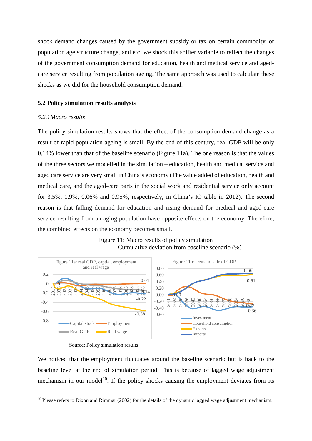shock demand changes caused by the government subsidy or tax on certain commodity, or population age structure change, and etc. we shock this shifter variable to reflect the changes of the government consumption demand for education, health and medical service and agedcare service resulting from population ageing. The same approach was used to calculate these shocks as we did for the household consumption demand.

#### **5.2 Policy simulation results analysis**

#### *5.2.1Macro results*

The policy simulation results shows that the effect of the consumption demand change as a result of rapid population ageing is small. By the end of this century, real GDP will be only 0.14% lower than that of the baseline scenario (Figure 11a). The one reason is that the values of the three sectors we modelled in the simulation – education, health and medical service and aged care service are very small in China's economy (The value added of education, health and medical care, and the aged-care parts in the social work and residential service only account for 3.5%, 1.9%, 0.06% and 0.95%, respectively, in China's IO table in 2012). The second reason is that falling demand for education and rising demand for medical and aged-care service resulting from an aging population have opposite effects on the economy. Therefore, the combined effects on the economy becomes small.





Source: Policy simulation results

We noticed that the employment fluctuates around the baseline scenario but is back to the baseline level at the end of simulation period. This is because of lagged wage adjustment mechanism in our model<sup>[10](#page-22-0)</sup>. If the policy shocks causing the employment deviates from its

<span id="page-22-0"></span><sup>&</sup>lt;sup>10</sup> Please refers to Dixon and Rimmar (2002) for the details of the dynamic lagged wage adjustment mechanism.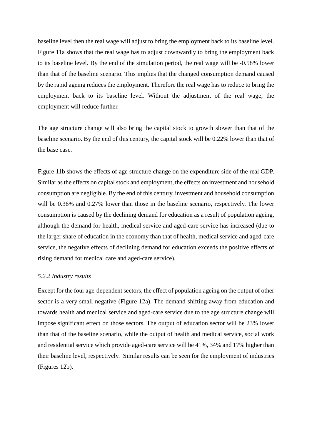baseline level then the real wage will adjust to bring the employment back to its baseline level. Figure 11a shows that the real wage has to adjust downwardly to bring the employment back to its baseline level. By the end of the simulation period, the real wage will be -0.58% lower than that of the baseline scenario. This implies that the changed consumption demand caused by the rapid ageing reduces the employment. Therefore the real wage has to reduce to bring the employment back to its baseline level. Without the adjustment of the real wage, the employment will reduce further.

The age structure change will also bring the capital stock to growth slower than that of the baseline scenario. By the end of this century, the capital stock will be 0.22% lower than that of the base case.

Figure 11b shows the effects of age structure change on the expenditure side of the real GDP. Similar as the effects on capital stock and employment, the effects on investment and household consumption are negligible. By the end of this century, investment and household consumption will be 0.36% and 0.27% lower than those in the baseline scenario, respectively. The lower consumption is caused by the declining demand for education as a result of population ageing, although the demand for health, medical service and aged-care service has increased (due to the larger share of education in the economy than that of health, medical service and aged-care service, the negative effects of declining demand for education exceeds the positive effects of rising demand for medical care and aged-care service).

#### *5.2.2 Industry results*

Except for the four age-dependent sectors, the effect of population ageing on the output of other sector is a very small negative (Figure 12a). The demand shifting away from education and towards health and medical service and aged-care service due to the age structure change will impose significant effect on those sectors. The output of education sector will be 23% lower than that of the baseline scenario, while the output of health and medical service, social work and residential service which provide aged-care service will be 41%, 34% and 17% higher than their baseline level, respectively. Similar results can be seen for the employment of industries (Figures 12b).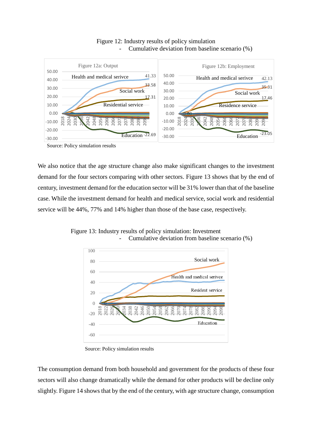

Figure 12: Industry results of policy simulation Cumulative deviation from baseline scenario (%)

Source: Policy simulation results

We also notice that the age structure change also make significant changes to the investment demand for the four sectors comparing with other sectors. Figure 13 shows that by the end of century, investment demand for the education sector will be 31% lower than that of the baseline case. While the investment demand for health and medical service, social work and residential service will be 44%, 77% and 14% higher than those of the base case, respectively.

100 Social work80 60 Health and medical serivce 40 Resident service 20  $\sqrt{2}$ 0 2018 2022 2026 2030 2034 2038 2046 2050 2066 2070 2074 2078 2082 2086 2090 2094 2098 2042 2054 2058 2062  $-20$ Education -40 -60

 Figure 13: Industry results of policy simulation: Investment Cumulative deviation from baseline scenario (%)

Source: Policy simulation results

The consumption demand from both household and government for the products of these four sectors will also change dramatically while the demand for other products will be decline only slightly. Figure 14 shows that by the end of the century, with age structure change, consumption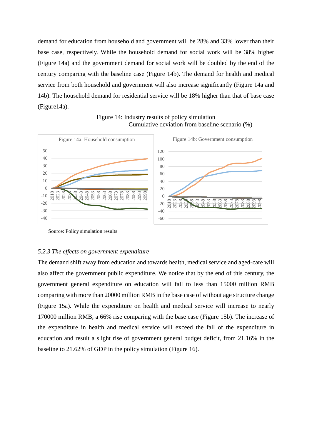demand for education from household and government will be 28% and 33% lower than their base case, respectively. While the household demand for social work will be 38% higher (Figure 14a) and the government demand for social work will be doubled by the end of the century comparing with the baseline case (Figure 14b). The demand for health and medical service from both household and government will also increase significantly (Figure 14a and 14b). The household demand for residential service will be 18% higher than that of base case (Figure14a).



Figure 14: Industry results of policy simulation Cumulative deviation from baseline scenario (%)

Source: Policy simulation results

#### *5.2.3 The effects on government expenditure*

The demand shift away from education and towards health, medical service and aged-care will also affect the government public expenditure. We notice that by the end of this century, the government general expenditure on education will fall to less than 15000 million RMB comparing with more than 20000 million RMB in the base case of without age structure change (Figure 15a). While the expenditure on health and medical service will increase to nearly 170000 million RMB, a 66% rise comparing with the base case (Figure 15b). The increase of the expenditure in health and medical service will exceed the fall of the expenditure in education and result a slight rise of government general budget deficit, from 21.16% in the baseline to 21.62% of GDP in the policy simulation (Figure 16).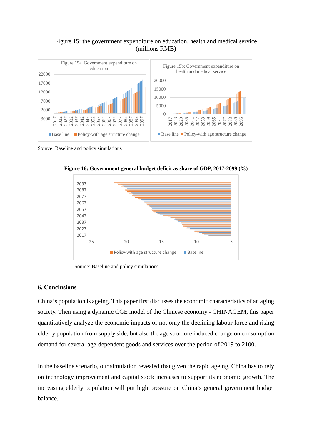### Figure 15: the government expenditure on education, health and medical service (millions RMB)



Source: Baseline and policy simulations



**Figure 16: Government general budget deficit as share of GDP, 2017-2099 (%)**

Source: Baseline and policy simulations

#### **6. Conclusions**

China's population is ageing. This paper first discusses the economic characteristics of an aging society. Then using a dynamic CGE model of the Chinese economy - CHINAGEM, this paper quantitatively analyze the economic impacts of not only the declining labour force and rising elderly population from supply side, but also the age structure induced change on consumption demand for several age-dependent goods and services over the period of 2019 to 2100.

In the baseline scenario, our simulation revealed that given the rapid ageing, China has to rely on technology improvement and capital stock increases to support its economic growth. The increasing elderly population will put high pressure on China's general government budget balance.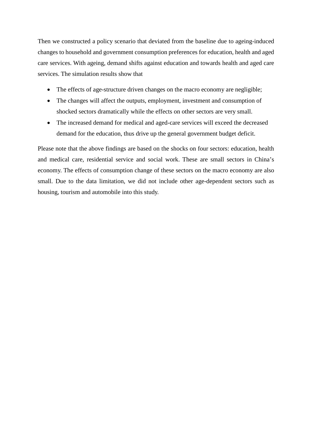Then we constructed a policy scenario that deviated from the baseline due to ageing-induced changes to household and government consumption preferences for education, health and aged care services. With ageing, demand shifts against education and towards health and aged care services. The simulation results show that

- The effects of age-structure driven changes on the macro economy are negligible;
- The changes will affect the outputs, employment, investment and consumption of shocked sectors dramatically while the effects on other sectors are very small.
- The increased demand for medical and aged-care services will exceed the decreased demand for the education, thus drive up the general government budget deficit.

Please note that the above findings are based on the shocks on four sectors: education, health and medical care, residential service and social work. These are small sectors in China's economy. The effects of consumption change of these sectors on the macro economy are also small. Due to the data limitation, we did not include other age-dependent sectors such as housing, tourism and automobile into this study.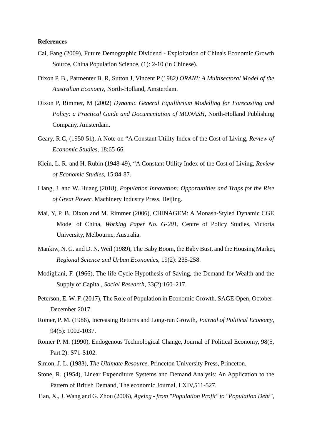#### **References**

- Cai, Fang (2009), Future Demographic Dividend Exploitation of China's Economic Growth Source, China Population Science, (1): 2-10 (in Chinese).
- Dixon P. B., Parmenter B. R, Sutton J, Vincent P (1982*) ORANI: A Multisectoral Model of the Australian Economy*, North-Holland, Amsterdam.
- Dixon P, Rimmer, M (2002) *Dynamic General Equilibrium Modelling for Forecasting and Policy: a Practical Guide and Documentation of MONASH*, North-Holland Publishing Company, Amsterdam.
- Geary, R.C, (1950-51), A Note on "A Constant Utility Index of the Cost of Living, *Review of Economic Studies*, 18:65-66.
- Klein, L. R. and H. Rubin (1948-49), "A Constant Utility Index of the Cost of Living, *Review of Economic Studies*, 15:84-87.
- Liang, J. and W. Huang (2018), *Population Innovation: Opportunities and Traps for the Rise of Great Power*. Machinery Industry Press, Beijing.
- Mai, Y, P. B. Dixon and M. Rimmer (2006), CHINAGEM: A Monash-Styled Dynamic CGE Model of China, *Working Paper No. G-201*, Centre of Policy Studies, Victoria University, Melbourne, Australia.
- Mankiw, N. G. and D. N. Weil (1989), The Baby Boom, the Baby Bust, and the Housing Market, *Regional Science and Urban Economics*, 19(2): 235-258.
- [Modigliani, F.](https://en.wikipedia.org/wiki/Franco_Modigliani) (1966), The life Cycle Hypothesis of Saving, the Demand for Wealth and the Supply of Capital, *[Social Research](https://en.wikipedia.org/wiki/Social_Research_(journal))*, 33(2):160–217.
- Peterson, E. W. F. (2017), The Role of Population in Economic Growth. SAGE Open, October-December 2017.
- Romer, P. M. (1986), Increasing Returns and Long-run Growth, *Journal of Political Economy*, 94(5): 1002-1037.
- Romer P. M. (1990), Endogenous Technological Change, Journal of Political Economy, 98(5, Part 2): S71-S102.
- Simon, J. L. (1983), *The Ultimate Resource*. Princeton University Press, Princeton.
- Stone, R. (1954), Linear Expenditure Systems and Demand Analysis: An Application to the Pattern of British Demand, The economic Journal, LXIV,511-527.
- Tian, X., J. Wang and G. Zhou (2006), *Ageing - from "Population Profit" to "Population Debt"*,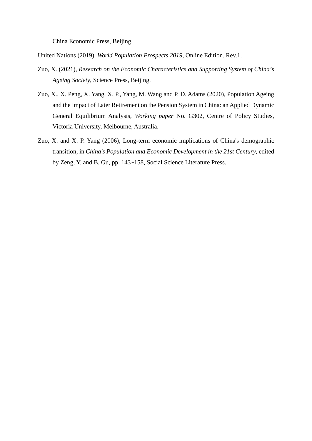China Economic Press, Beijing.

United Nations (2019). *World Population Prospects 2019*, Online Edition. Rev.1.

- Zuo, X. (2021), *Research on the Economic Characteristics and Supporting System of China's Ageing Society*, Science Press, Beijing.
- Zuo, X., X. Peng, X. Yang, X. P., Yang, M. Wang and P. D. Adams (2020), Population Ageing and the Impact of Later Retirement on the Pension System in China: an Applied Dynamic General Equilibrium Analysis, *Working paper* No. G302, Centre of Policy Studies, Victoria University, Melbourne, Australia.
- Zuo, X. and X. P. Yang (2006), Long-term economic implications of China's demographic transition, in *China's Population and Economic Development in the 21st Century*, edited by Zeng, Y. and B. Gu, pp. 143~158, Social Science Literature Press.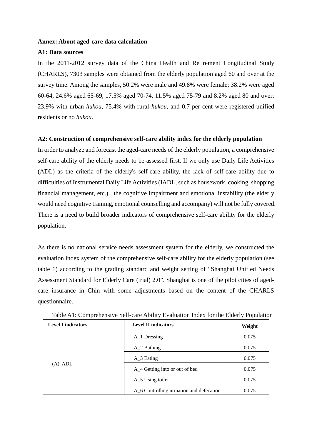#### **Annex: About aged-care data calculation**

#### **A1: Data sources**

In the 2011-2012 survey data of the China Health and Retirement Longitudinal Study (CHARLS), 7303 samples were obtained from the elderly population aged 60 and over at the survey time. Among the samples, 50.2% were male and 49.8% were female; 38.2% were aged 60-64, 24.6% aged 65-69, 17.5% aged 70-74, 11.5% aged 75-79 and 8.2% aged 80 and over; 23.9% with urban *hukou*, 75.4% with rural *hukou*, and 0.7 per cent were registered unified residents or no *hukou*.

#### **A2: Construction of comprehensive self-care ability index for the elderly population**

In order to analyze and forecast the aged-care needs of the elderly population, a comprehensive self-care ability of the elderly needs to be assessed first. If we only use Daily Life Activities (ADL) as the criteria of the elderly's self-care ability, the lack of self-care ability due to difficulties of Instrumental Daily Life Activities (IADL, such as housework, cooking, shopping, financial management, etc.) , the cognitive impairment and emotional instability (the elderly would need cognitive training, emotional counselling and accompany) will not be fully covered. There is a need to build broader indicators of comprehensive self-care ability for the elderly population.

As there is no national service needs assessment system for the elderly, we constructed the evaluation index system of the comprehensive self-care ability for the elderly population (see table 1) according to the grading standard and weight setting of "Shanghai Unified Needs Assessment Standard for Elderly Care (trial) 2.0". Shanghai is one of the pilot cities of agedcare insurance in Chin with some adjustments based on the content of the CHARLS questionnaire.

| <b>Level I indicators</b> | <b>Level II indicators</b>               | Weight |  |  |
|---------------------------|------------------------------------------|--------|--|--|
|                           | A <sub>1</sub> Dressing                  | 0.075  |  |  |
|                           | $A_2$ Bathing                            | 0.075  |  |  |
|                           | $A_3$ Eating                             | 0.075  |  |  |
| (A) ADL                   | A_4 Getting into or out of bed           | 0.075  |  |  |
|                           | A_5 Using toilet                         | 0.075  |  |  |
|                           | A_6 Controlling urination and defecation | 0.075  |  |  |

Table A1: Comprehensive Self-care Ability Evaluation Index for the Elderly Population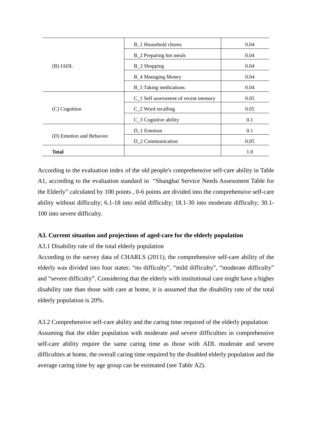| $(B)$ IADL               | B 1 Household chores                 | 0.04 |
|--------------------------|--------------------------------------|------|
|                          | B_2 Preparing hot meals              | 0.04 |
|                          | B_3 Shopping                         | 0.04 |
|                          | <b>B_4 Managing Money</b>            | 0.04 |
|                          | <b>B_5</b> Taking medications        | 0.04 |
| (C) Cognition            | C_1 Self assessment of recent memory | 0.05 |
|                          | $C_2$ Word recalling                 | 0.05 |
|                          | C_3 Cognitive ability                | 0.1  |
| (D) Emotion and Behavior | D_1 Emotion                          | 0.1  |
|                          | D 2 Communication                    | 0.05 |
| <b>Total</b>             |                                      | 1.0  |

According to the evaluation index of the old people's comprehensive self-care ability in Table A1, according to the evaluation standard in "Shanghai Service Needs Assessment Table for the Elderly" calculated by 100 points , 0-6 points are divided into the comprehensive self-care ability without difficulty; 6.1-18 into mild difficulty; 18.1-30 into moderate difficulty; 30.1- 100 into severe difficulty.

## **A3. Current situation and projections of aged-care for the elderly population**

A3.1 Disability rate of the total elderly population

According to the survey data of CHARLS (2011), the comprehensive self-care ability of the elderly was divided into four states: "no difficulty", "mild difficulty", "moderate difficulty" and "severe difficulty". Considering that the elderly with institutional care might have a higher disability rate than those with care at home, it is assumed that the disability rate of the total elderly population is 20%.

A3.2 Comprehensive self-care ability and the caring time required of the elderly population Assuming that the elder population with moderate and severe difficulties in comprehensive self-care ability require the same caring time as those with ADL moderate and severe difficulties at home, the overall caring time required by the disabled elderly population and the average caring time by age group can be estimated (see Table A2).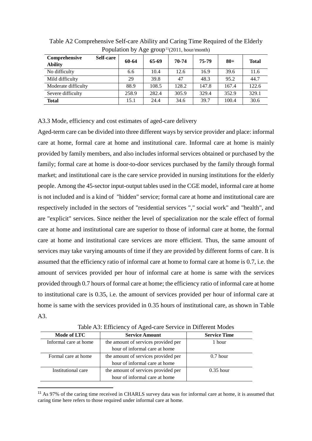| $\sigma$ $\sigma$ $\sim$ $\Gamma$            |       |       |       |       |       |              |
|----------------------------------------------|-------|-------|-------|-------|-------|--------------|
| Comprehensive<br>Self-care<br><b>Ability</b> | 60-64 | 65-69 | 70-74 | 75-79 | $80+$ | <b>Total</b> |
| No difficulty                                | 6.6   | 10.4  | 12.6  | 16.9  | 39.6  | 11.6         |
| Mild difficulty                              | 29    | 39.8  | 47    | 48.3  | 95.2  | 44.7         |
| Moderate difficulty                          | 88.9  | 108.5 | 128.2 | 147.8 | 167.4 | 122.6        |
| Severe difficulty                            | 258.9 | 282.4 | 305.9 | 329.4 | 352.9 | 329.1        |
| <b>Total</b>                                 | 15.1  | 24.4  | 34.6  | 39.7  | 100.4 | 30.6         |

Table A2 Comprehensive Self-care Ability and Caring Time Required of the Elderly Population by Age group<sup>[11](#page-32-0)</sup> $(2011, \text{hour/month})$ 

A3.3 Mode, efficiency and cost estimates of aged-care delivery

Aged-term care can be divided into three different ways by service provider and place: informal care at home, formal care at home and institutional care. Informal care at home is mainly provided by family members, and also includes informal services obtained or purchased by the family; formal care at home is door-to-door services purchased by the family through formal market; and institutional care is the care service provided in nursing institutions for the elderly people. Among the 45-sector input-output tables used in the CGE model, informal care at home is not included and is a kind of "hidden" service; formal care at home and institutional care are respectively included in the sectors of "residential services "," social work" and "health", and are "explicit" services. Since neither the level of specialization nor the scale effect of formal care at home and institutional care are superior to those of informal care at home, the formal care at home and institutional care services are more efficient. Thus, the same amount of services may take varying amounts of time if they are provided by different forms of care. It is assumed that the efficiency ratio of informal care at home to formal care at home is 0.7, i.e. the amount of services provided per hour of informal care at home is same with the services provided through 0.7 hours of formal care at home; the efficiency ratio of informal care at home to institutional care is 0.35, i.e. the amount of services provided per hour of informal care at home is same with the services provided in 0.35 hours of institutional care, as shown in Table A3.

| Mode of LTC           | <b>Service Amount</b>               | <b>Service Time</b> |
|-----------------------|-------------------------------------|---------------------|
| Informal care at home | the amount of services provided per | 1 hour              |
|                       | hour of informal care at home       |                     |
| Formal care at home   | the amount of services provided per | $0.7$ hour          |
|                       | hour of informal care at home       |                     |
| Institutional care    | the amount of services provided per | $0.35$ hour         |
|                       | hour of informal care at home       |                     |

Table A3: Efficiency of Aged-care Service in Different Modes

<span id="page-32-0"></span> <sup>11</sup> As 97% of the caring time received in CHARLS survey data was for informal care at home, it is assumed that caring time here refers to those required under informal care at home.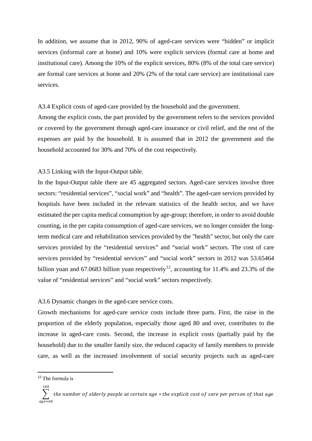In addition, we assume that in 2012, 90% of aged-care services were "hidden" or implicit services (informal care at home) and 10% were explicit services (formal care at home and institutional care). Among the 10% of the explicit services, 80% (8% of the total care service) are formal care services at home and 20% (2% of the total care service) are institutional care services.

A3.4 Explicit costs of aged-care provided by the household and the government.

Among the explicit costs, the part provided by the government refers to the services provided or covered by the government through aged-care insurance or civil relief, and the rest of the expenses are paid by the household. It is assumed that in 2012 the government and the household accounted for 30% and 70% of the cost respectively.

#### A3.5 Linking with the Input-Output table.

In the Input-Output table there are 45 aggregated sectors. Aged-care services involve three sectors: "residential services", "social work" and "health". The aged-care services provided by hospitals have been included in the relevant statistics of the health sector, and we have estimated the per capita medical consumption by age-group; therefore, in order to avoid double counting, in the per capita consumption of aged-care services, we no longer consider the longterm medical care and rehabilitation services provided by the "health" sector, but only the care services provided by the "residential services" and "social work" sectors. The cost of care services provided by "residential services" and "social work" sectors in 2012 was 53.65464 billion yuan and 67.0683 billion yuan respectively<sup>[12](#page-33-0)</sup>, accounting for 11.4% and 23.3% of the value of "residential services" and "social work" sectors respectively.

A3.6 Dynamic changes in the aged-care service costs.

Growth mechanisms for aged-care service costs include three parts. First, the raise in the proportion of the elderly population, especially those aged 80 and over, contributes to the increase in aged-care costs. Second, the increase in explicit costs (partially paid by the household) due to the smaller family size, the reduced capacity of family members to provide care, as well as the increased involvement of social security projects such as aged-care

<span id="page-33-0"></span> <sup>12</sup> The formula is

 $\sum_{i=1}^{\infty}$  the number of elderly people at certain age  $*$  the explicit cost of care per person of that age 100 age=60